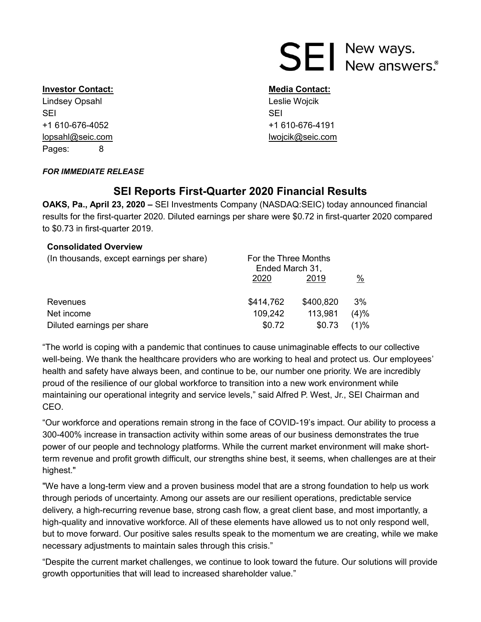# **SEI** New ways.<br>SEI New answers.

#### **Investor Contact: Media Contact: Media Contact:**

Lindsey Opsahl **Leslie Wojcik** Leslie Wojcik SEI SEI +1 610-676-4052 +1 610-676-4191 lopsahl@seic.com lwojcik@seic.com Pages: 8

#### *FOR IMMEDIATE RELEASE*

# **SEI Reports First-Quarter 2020 Financial Results**

**OAKS, Pa., April 23, 2020 –** SEI Investments Company (NASDAQ:SEIC) today announced financial results for the first-quarter 2020. Diluted earnings per share were \$0.72 in first-quarter 2020 compared to \$0.73 in first-quarter 2019.

#### **Consolidated Overview**

| (In thousands, except earnings per share) | For the Three Months<br>Ended March 31, |           |      |  |
|-------------------------------------------|-----------------------------------------|-----------|------|--|
|                                           | 2020                                    | 2019      | %    |  |
| Revenues                                  | \$414,762                               | \$400,820 | 3%   |  |
| Net income                                | 109,242                                 | 113,981   | (4)% |  |
| Diluted earnings per share                | \$0.72                                  | \$0.73    | (1)% |  |

"The world is coping with a pandemic that continues to cause unimaginable effects to our collective well-being. We thank the healthcare providers who are working to heal and protect us. Our employees' health and safety have always been, and continue to be, our number one priority. We are incredibly proud of the resilience of our global workforce to transition into a new work environment while maintaining our operational integrity and service levels," said Alfred P. West, Jr., SEI Chairman and CEO.

"Our workforce and operations remain strong in the face of COVID-19's impact. Our ability to process a 300-400% increase in transaction activity within some areas of our business demonstrates the true power of our people and technology platforms. While the current market environment will make shortterm revenue and profit growth difficult, our strengths shine best, it seems, when challenges are at their highest."

"We have a long-term view and a proven business model that are a strong foundation to help us work through periods of uncertainty. Among our assets are our resilient operations, predictable service delivery, a high-recurring revenue base, strong cash flow, a great client base, and most importantly, a high-quality and innovative workforce. All of these elements have allowed us to not only respond well, but to move forward. Our positive sales results speak to the momentum we are creating, while we make necessary adjustments to maintain sales through this crisis."

"Despite the current market challenges, we continue to look toward the future. Our solutions will provide growth opportunities that will lead to increased shareholder value."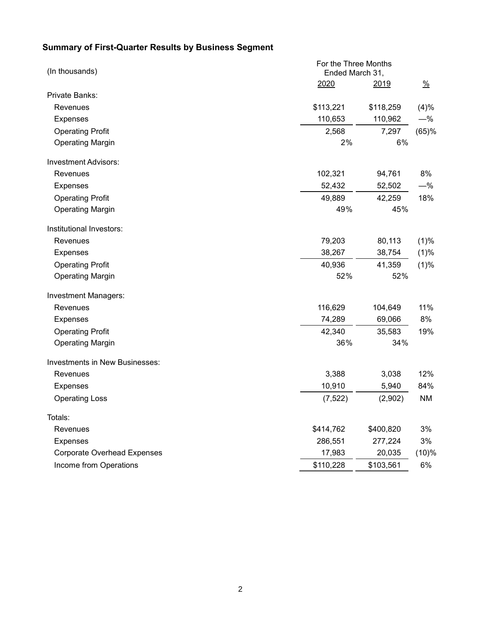# **Summary of First-Quarter Results by Business Segment**

| (In thousands)                        | For the Three Months<br>Ended March 31, |           |               |  |
|---------------------------------------|-----------------------------------------|-----------|---------------|--|
|                                       | 2020                                    | 2019      | $\frac{0}{2}$ |  |
| Private Banks:                        |                                         |           |               |  |
| Revenues                              | \$113,221                               | \$118,259 | (4)%          |  |
| <b>Expenses</b>                       | 110,653                                 | 110,962   | $-\%$         |  |
| <b>Operating Profit</b>               | 2,568                                   | 7,297     | (65)%         |  |
| <b>Operating Margin</b>               | 2%                                      | 6%        |               |  |
| <b>Investment Advisors:</b>           |                                         |           |               |  |
| Revenues                              | 102,321                                 | 94,761    | 8%            |  |
| <b>Expenses</b>                       | 52,432                                  | 52,502    | $-\%$         |  |
| <b>Operating Profit</b>               | 49,889                                  | 42,259    | 18%           |  |
| <b>Operating Margin</b>               | 49%                                     | 45%       |               |  |
| Institutional Investors:              |                                         |           |               |  |
| Revenues                              | 79,203                                  | 80,113    | (1)%          |  |
| <b>Expenses</b>                       | 38,267                                  | 38,754    | (1)%          |  |
| <b>Operating Profit</b>               | 40,936                                  | 41,359    | (1)%          |  |
| <b>Operating Margin</b>               | 52%                                     | 52%       |               |  |
| <b>Investment Managers:</b>           |                                         |           |               |  |
| Revenues                              | 116,629                                 | 104,649   | 11%           |  |
| <b>Expenses</b>                       | 74,289                                  | 69,066    | 8%            |  |
| <b>Operating Profit</b>               | 42,340                                  | 35,583    | 19%           |  |
| <b>Operating Margin</b>               | 36%                                     | 34%       |               |  |
| <b>Investments in New Businesses:</b> |                                         |           |               |  |
| Revenues                              | 3,388                                   | 3,038     | 12%           |  |
| <b>Expenses</b>                       | 10,910                                  | 5,940     | 84%           |  |
| <b>Operating Loss</b>                 | (7, 522)                                | (2,902)   | NM            |  |
| Totals:                               |                                         |           |               |  |
| Revenues                              | \$414,762                               | \$400,820 | 3%            |  |
| Expenses                              | 286,551                                 | 277,224   | 3%            |  |
| <b>Corporate Overhead Expenses</b>    | 17,983                                  | 20,035    | (10)%         |  |
| Income from Operations                | \$110,228                               | \$103,561 | 6%            |  |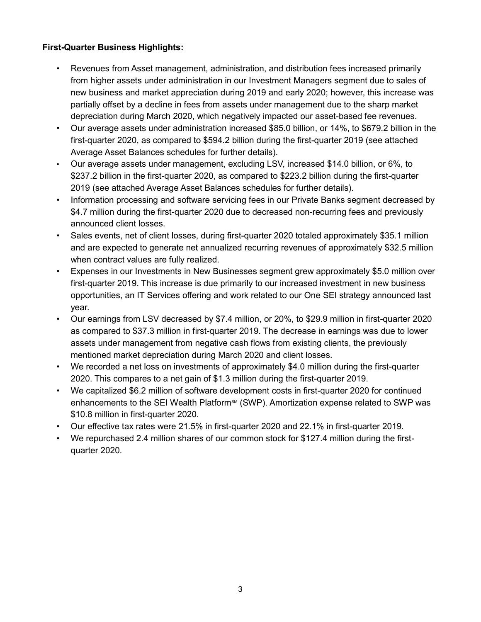## **First-Quarter Business Highlights:**

- Revenues from Asset management, administration, and distribution fees increased primarily from higher assets under administration in our Investment Managers segment due to sales of new business and market appreciation during 2019 and early 2020; however, this increase was partially offset by a decline in fees from assets under management due to the sharp market depreciation during March 2020, which negatively impacted our asset-based fee revenues.
- Our average assets under administration increased \$85.0 billion, or 14%, to \$679.2 billion in the first-quarter 2020, as compared to \$594.2 billion during the first-quarter 2019 (see attached Average Asset Balances schedules for further details).
- Our average assets under management, excluding LSV, increased \$14.0 billion, or 6%, to \$237.2 billion in the first-quarter 2020, as compared to \$223.2 billion during the first-quarter 2019 (see attached Average Asset Balances schedules for further details).
- Information processing and software servicing fees in our Private Banks segment decreased by \$4.7 million during the first-quarter 2020 due to decreased non-recurring fees and previously announced client losses.
- Sales events, net of client losses, during first-quarter 2020 totaled approximately \$35.1 million and are expected to generate net annualized recurring revenues of approximately \$32.5 million when contract values are fully realized.
- Expenses in our Investments in New Businesses segment grew approximately \$5.0 million over first-quarter 2019. This increase is due primarily to our increased investment in new business opportunities, an IT Services offering and work related to our One SEI strategy announced last year.
- Our earnings from LSV decreased by \$7.4 million, or 20%, to \$29.9 million in first-quarter 2020 as compared to \$37.3 million in first-quarter 2019. The decrease in earnings was due to lower assets under management from negative cash flows from existing clients, the previously mentioned market depreciation during March 2020 and client losses.
- We recorded a net loss on investments of approximately \$4.0 million during the first-quarter 2020. This compares to a net gain of \$1.3 million during the first-quarter 2019.
- We capitalized \$6.2 million of software development costs in first-quarter 2020 for continued enhancements to the SEI Wealth Platform<sup>sM</sup> (SWP). Amortization expense related to SWP was \$10.8 million in first-quarter 2020.
- Our effective tax rates were 21.5% in first-quarter 2020 and 22.1% in first-quarter 2019.
- We repurchased 2.4 million shares of our common stock for \$127.4 million during the firstquarter 2020.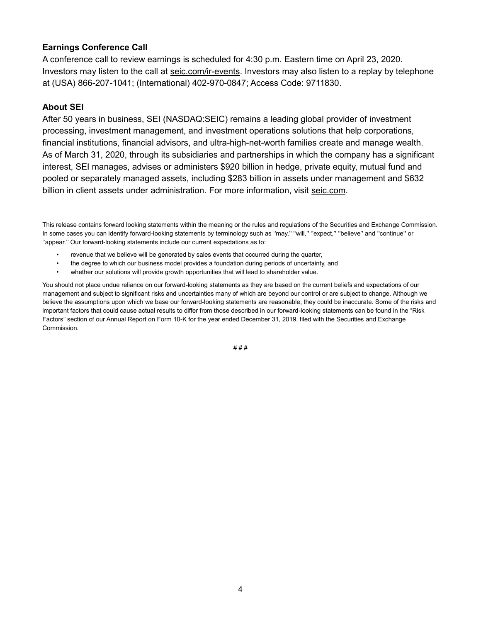#### **Earnings Conference Call**

A conference call to review earnings is scheduled for 4:30 p.m. Eastern time on April 23, 2020. Investors may listen to the call at [seic.com/ir-events.](https://seic.com/investor-relations/investor-relations-events-and-webcasts) Investors may also listen to a replay by telephone at (USA) 866-207-1041; (International) 402-970-0847; Access Code: 9711830.

#### **About SEI**

After 50 years in business, SEI (NASDAQ:SEIC) remains a leading global provider of investment processing, investment management, and investment operations solutions that help corporations, financial institutions, financial advisors, and ultra-high-net-worth families create and manage wealth. As of March 31, 2020, through its subsidiaries and partnerships in which the company has a significant interest, SEI manages, advises or administers \$920 billion in hedge, private equity, mutual fund and pooled or separately managed assets, including \$283 billion in assets under management and \$632 billion in client assets under administration. For more information, visit [seic.com.](http://seic.com/)

This release contains forward looking statements within the meaning or the rules and regulations of the Securities and Exchange Commission. In some cases you can identify forward-looking statements by terminology such as "may," "will," "expect," "believe" and "continue" or ''appear.'' Our forward-looking statements include our current expectations as to:

- revenue that we believe will be generated by sales events that occurred during the quarter,
- the degree to which our business model provides a foundation during periods of uncertainty, and
- whether our solutions will provide growth opportunities that will lead to shareholder value.

You should not place undue reliance on our forward-looking statements as they are based on the current beliefs and expectations of our management and subject to significant risks and uncertainties many of which are beyond our control or are subject to change. Although we believe the assumptions upon which we base our forward-looking statements are reasonable, they could be inaccurate. Some of the risks and important factors that could cause actual results to differ from those described in our forward-looking statements can be found in the "Risk Factors" section of our Annual Report on Form 10-K for the year ended December 31, 2019, filed with the Securities and Exchange Commission.

# # #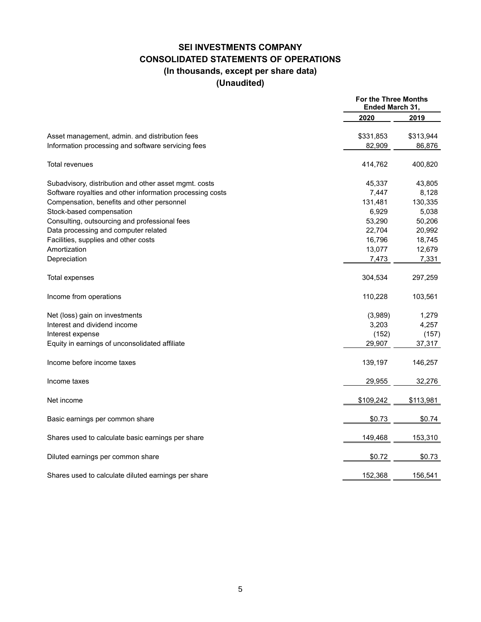## **SEI INVESTMENTS COMPANY CONSOLIDATED STATEMENTS OF OPERATIONS (In thousands, except per share data) (Unaudited)**

|                                                           | <b>For the Three Months</b><br>Ended March 31, |           |
|-----------------------------------------------------------|------------------------------------------------|-----------|
|                                                           | 2020                                           | 2019      |
| Asset management, admin. and distribution fees            | \$331,853                                      | \$313,944 |
| Information processing and software servicing fees        | 82,909                                         | 86,876    |
| <b>Total revenues</b>                                     | 414,762                                        | 400,820   |
| Subadvisory, distribution and other asset mgmt. costs     | 45,337                                         | 43,805    |
| Software royalties and other information processing costs | 7,447                                          | 8,128     |
| Compensation, benefits and other personnel                | 131,481                                        | 130,335   |
| Stock-based compensation                                  | 6,929                                          | 5,038     |
| Consulting, outsourcing and professional fees             | 53,290                                         | 50,206    |
| Data processing and computer related                      | 22,704                                         | 20,992    |
| Facilities, supplies and other costs                      | 16,796                                         | 18,745    |
| Amortization                                              | 13,077                                         | 12,679    |
| Depreciation                                              | 7,473                                          | 7,331     |
| Total expenses                                            | 304,534                                        | 297,259   |
| Income from operations                                    | 110,228                                        | 103,561   |
| Net (loss) gain on investments                            | (3,989)                                        | 1,279     |
| Interest and dividend income                              | 3,203                                          | 4,257     |
| Interest expense                                          | (152)                                          | (157)     |
| Equity in earnings of unconsolidated affiliate            | 29,907                                         | 37,317    |
| Income before income taxes                                | 139,197                                        | 146,257   |
| Income taxes                                              | 29,955                                         | 32,276    |
| Net income                                                | \$109,242                                      | \$113,981 |
| Basic earnings per common share                           | \$0.73                                         | \$0.74    |
| Shares used to calculate basic earnings per share         | 149,468                                        | 153,310   |
| Diluted earnings per common share                         | \$0.72                                         | \$0.73    |
| Shares used to calculate diluted earnings per share       | 152,368                                        | 156,541   |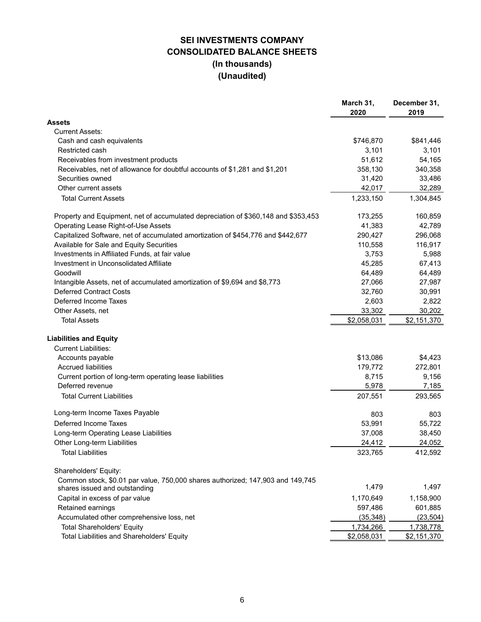## **SEI INVESTMENTS COMPANY CONSOLIDATED BALANCE SHEETS (In thousands) (Unaudited)**

|                                                                                                                 | March 31,<br>2020 | December 31,<br>2019 |
|-----------------------------------------------------------------------------------------------------------------|-------------------|----------------------|
| Assets                                                                                                          |                   |                      |
| <b>Current Assets:</b>                                                                                          |                   |                      |
| Cash and cash equivalents                                                                                       | \$746,870         | \$841,446            |
| Restricted cash                                                                                                 | 3,101             | 3,101                |
| Receivables from investment products                                                                            | 51,612            | 54,165               |
| Receivables, net of allowance for doubtful accounts of \$1,281 and \$1,201                                      | 358,130           | 340,358              |
| Securities owned                                                                                                | 31,420            | 33,486               |
| Other current assets                                                                                            | 42,017            | 32,289               |
| <b>Total Current Assets</b>                                                                                     | 1,233,150         | 1,304,845            |
| Property and Equipment, net of accumulated depreciation of \$360,148 and \$353,453                              | 173,255           | 160,859              |
| Operating Lease Right-of-Use Assets                                                                             | 41,383            | 42,789               |
| Capitalized Software, net of accumulated amortization of \$454,776 and \$442,677                                | 290,427           | 296,068              |
| Available for Sale and Equity Securities                                                                        | 110,558           | 116,917              |
| Investments in Affiliated Funds, at fair value                                                                  | 3,753             | 5,988                |
| Investment in Unconsolidated Affiliate                                                                          | 45,285            | 67,413               |
| Goodwill                                                                                                        | 64,489            | 64,489               |
| Intangible Assets, net of accumulated amortization of \$9,694 and \$8,773                                       | 27,066            | 27,987               |
| <b>Deferred Contract Costs</b>                                                                                  | 32,760            | 30,991               |
| Deferred Income Taxes                                                                                           | 2,603             | 2,822                |
| Other Assets, net                                                                                               | 33,302            | 30,202               |
| <b>Total Assets</b>                                                                                             | \$2,058,031       | \$2,151,370          |
| <b>Liabilities and Equity</b>                                                                                   |                   |                      |
| <b>Current Liabilities:</b>                                                                                     |                   |                      |
| Accounts payable                                                                                                | \$13,086          | \$4,423              |
| <b>Accrued liabilities</b>                                                                                      | 179,772           | 272,801              |
| Current portion of long-term operating lease liabilities                                                        | 8,715             | 9,156                |
| Deferred revenue                                                                                                | 5,978             | 7,185                |
| <b>Total Current Liabilities</b>                                                                                | 207,551           | 293,565              |
| Long-term Income Taxes Payable                                                                                  | 803               | 803                  |
| Deferred Income Taxes                                                                                           | 53,991            | 55,722               |
| Long-term Operating Lease Liabilities                                                                           | 37,008            | 38,450               |
| Other Long-term Liabilities                                                                                     | 24,412            | 24,052               |
| <b>Total Liabilities</b>                                                                                        | 323,765           | 412,592              |
| Shareholders' Equity:                                                                                           |                   |                      |
| Common stock, \$0.01 par value, 750,000 shares authorized; 147,903 and 149,745<br>shares issued and outstanding | 1,479             | 1,497                |
| Capital in excess of par value                                                                                  | 1,170,649         | 1,158,900            |
| Retained earnings                                                                                               | 597,486           | 601,885              |
| Accumulated other comprehensive loss, net                                                                       | (35, 348)         | (23, 504)            |
| <b>Total Shareholders' Equity</b>                                                                               | 1,734,266         | 1,738,778            |
| Total Liabilities and Shareholders' Equity                                                                      | \$2,058,031       | \$2,151,370          |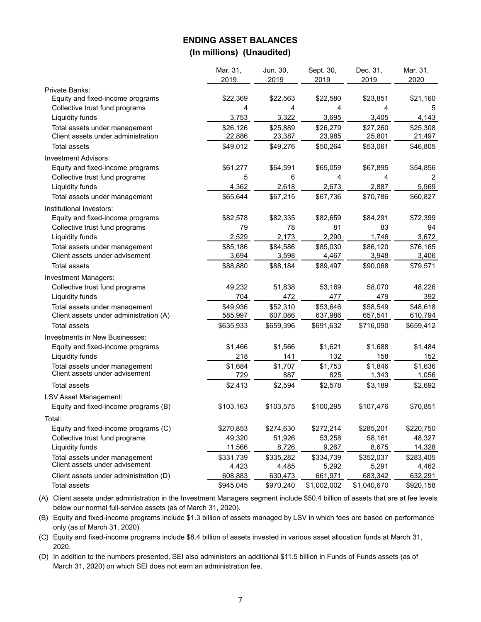## **ENDING ASSET BALANCES (In millions) (Unaudited)**

|                                                                     | Mar. 31,<br>2019   | Jun. 30,<br>2019   | Sept. 30,<br>2019  | Dec. 31,<br>2019   | Mar. 31,<br>2020   |
|---------------------------------------------------------------------|--------------------|--------------------|--------------------|--------------------|--------------------|
| <b>Private Banks:</b>                                               |                    |                    |                    |                    |                    |
| Equity and fixed-income programs                                    | \$22,369           | \$22,563           | \$22,580           | \$23,851           | \$21,160           |
| Collective trust fund programs                                      | 4                  | 4                  | 4                  | 4                  | 5                  |
| Liquidity funds                                                     | 3,753              | 3,322              | 3,695              | 3,405              | 4,143              |
| Total assets under management<br>Client assets under administration | \$26,126<br>22,886 | \$25,889<br>23,387 | \$26,279<br>23,985 | \$27,260<br>25,801 | \$25,308<br>21,497 |
| <b>Total assets</b>                                                 | \$49,012           | \$49,276           | \$50,264           | \$53,061           | \$46,805           |
| Investment Advisors:                                                |                    |                    |                    |                    |                    |
| Equity and fixed-income programs                                    | \$61,277           | \$64,591           | \$65,059           | \$67,895           | \$54,856           |
| Collective trust fund programs                                      | 5                  | 6                  | 4                  | 4                  |                    |
| Liquidity funds                                                     | 4,362              | 2,618              | 2,673              | 2,887              | 5,969              |
| Total assets under management                                       | \$65,644           | \$67,215           | \$67,736           | \$70,786           | \$60,827           |
| Institutional Investors:                                            |                    |                    |                    |                    |                    |
| Equity and fixed-income programs                                    | \$82,578           | \$82,335           | \$82,659           | \$84,291           | \$72,399           |
| Collective trust fund programs                                      | 79                 | 78                 | 81                 | 83                 | 94                 |
| Liquidity funds                                                     | 2,529              | 2,173              | 2,290              | 1,746              | 3,672              |
| Total assets under management                                       | \$85,186           | \$84,586           | \$85,030           | \$86,120           | \$76,165           |
| Client assets under advisement                                      | 3,694              | 3,598              | 4,467              | 3,948              | 3,406              |
| <b>Total assets</b>                                                 | \$88,880           | \$88,184           | \$89,497           | \$90,068           | \$79,571           |
| Investment Managers:                                                |                    |                    |                    |                    |                    |
| Collective trust fund programs                                      | 49,232             | 51,838             | 53,169             | 58,070             | 48,226             |
| Liquidity funds                                                     | 704                | 472                | 477                | 479                | 392                |
| Total assets under management                                       | \$49,936           | \$52,310           | \$53,646           | \$58,549           | \$48,618           |
| Client assets under administration (A)                              | 585,997            | 607,086            | 637,986            | 657,541            | 610,794            |
| <b>Total assets</b>                                                 | \$635,933          | \$659,396          | \$691,632          | \$716,090          | \$659,412          |
| Investments in New Businesses:                                      |                    |                    |                    |                    |                    |
| Equity and fixed-income programs                                    | \$1,466            | \$1,566            | \$1,621            | \$1,688            | \$1,484            |
| Liquidity funds                                                     | 218                | 141                | 132                | 158                | 152                |
| Total assets under management                                       | \$1,684            | \$1,707            | \$1,753            | \$1,846            | \$1,636            |
| Client assets under advisement                                      | 729                | 887                | 825                | 1,343              | 1,056              |
| <b>Total assets</b>                                                 | \$2,413            | \$2,594            | \$2,578            | \$3,189            | \$2,692            |
| <b>LSV Asset Management:</b>                                        |                    |                    |                    |                    |                    |
| Equity and fixed-income programs (B)                                | \$103,163          | \$103,575          | \$100,295          | \$107,476          | \$70,851           |
| Total:                                                              |                    |                    |                    |                    |                    |
| Equity and fixed-income programs (C)                                | \$270,853          | \$274,630          | \$272,214          | \$285,201          | \$220,750          |
| Collective trust fund programs                                      | 49,320             | 51,926             | 53,258             | 58,161             | 48,327             |
| Liquidity funds                                                     | 11,566             | 8,726              | 9,267              | 8,675              | 14,328             |
| Total assets under management                                       | \$331,739          | \$335,282          | \$334,739          | \$352,037          | \$283,405          |
| Client assets under advisement                                      | 4,423              | 4,485              | 5,292              | 5,291              | 4,462              |
| Client assets under administration (D)                              | 608,883            | 630,473            | 661,971            | 683,342            | 632,291            |
| Total assets                                                        | \$945,045          | \$970,240          | \$1,002,002        | \$1,040,670        | \$920,158          |

(A) Client assets under administration in the Investment Managers segment include \$50.4 billion of assets that are at fee levels below our normal full-service assets (as of March 31, 2020).

(B) Equity and fixed-income programs include \$1.3 billion of assets managed by LSV in which fees are based on performance only (as of March 31, 2020).

(C) Equity and fixed-income programs include \$8.4 billion of assets invested in various asset allocation funds at March 31, 2020.

(D) In addition to the numbers presented, SEI also administers an additional \$11.5 billion in Funds of Funds assets (as of March 31, 2020) on which SEI does not earn an administration fee.